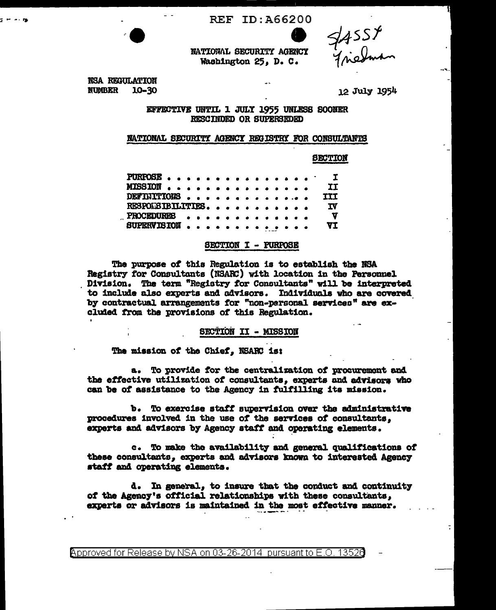**REF ID: A66200** 



NATIONAL SECURITY AGENCY Washington 25. D. C.

NSA REGULATION **NUMBER** 10-30

12 July 1954

EFFECTIVE UNTIL 1 JULY 1955 UNLESS SOONER RESCINDED OR SUPERSEDED

# NATIONAL SECURITY AGENCY REGISTRY FOR CONSULTANTS

**SECTION** 

| PURPOSE I         |  |  |  |  |  |  |  |          |
|-------------------|--|--|--|--|--|--|--|----------|
| MISSION           |  |  |  |  |  |  |  | II       |
| DEFINITIONS       |  |  |  |  |  |  |  | III      |
| RESPONSIBILITIES. |  |  |  |  |  |  |  | TV.      |
| PROCEDURES        |  |  |  |  |  |  |  | <b>V</b> |
| SUPERVISION       |  |  |  |  |  |  |  | VI       |

# SECTION I - PURPOSE

The purpose of this Regulation is to establish the NSA Registry for Consultants (NSARC) with location in the Personnel Division. The term "Registry for Consultants" will be interpreted to include also experts and advisors. Individuals who are covered by contractual arrangements for "non-personal services" are excluded from the provisions of this Regulation.

# SECTION II - MISSION

The mission of the Chief. NSARC is:

a. To provide for the centralization of procurement and the effective utilization of consultants, experts and advisors who can be of assistance to the Agency in fulfilling its mission.

 $\mathbf{b}_{\bullet}$ To exercise staff supervision over the administrative procedures involved in the use of the services of consultants, experts and advisors by Agency staff and operating elements.

c. To make the availability and general qualifications of these consultants, experts and advisors known to interested Agency staff and operating elements.

d. In general, to insure that the conduct and continuity of the Agency's official relationships with these consultants. experts or advisors is maintained in the most effective manner.

Approved for Release by NSA on 03-26-2014 pursuant to E.O. 13526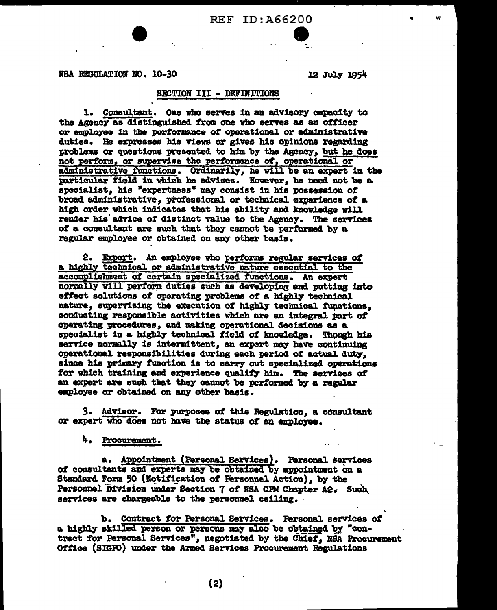# REF ID: A66200

NSA REGULATION NO. 10-30.

12 July 1954

### SECTION III - DEFINITIONS

1. Consultant. One who serves in an advisory capacity to the Agency as distinguished from one who serves as an officer or employee in the porformance of operational or administrative duties. He expresses his views or gives his opinions regarding problems or questions presented to him by the Agency, but he does not perform, or supervise the performance of, operational or administrative functions. Ordinarily, he will be an expert in the particular field in which he advises. However, he need not be a specialist, his "expertness" may consist in his possession of broad administrative, professional or technical experience of a high order which indicates that his ability and knowledge will render his advice of distinct value to the Agency. The services of a consultant are such that they cannot be performed by a regular employee or obtained on any other basis.

2. Expert. An employee who performs regular services of a highly technical or administrative nature essential to the accomplishment of certain specialized functions. An expert normally will perform duties such as developing and putting into effect solutions of operating problems of a highly technical nature, supervising the execution of highly technical functions, conducting responsible activities which are an integral part of operating procedures, and making operational decisions as a specialist in a highly technical field of knowledge. Though his service normally is intermittent, an expert may have continuing operational responsibilities during each period of actual duty. since his primary function is to carry out specialized operations for which training and experience qualify him. The services of an expert are such that they cannot be performed by a regular employee or obtained on any other basis.

3. Advisor. For purposes of this Regulation, a consultant or expert who does not have the status of an employee.

Procurement.

a. Appointment (Personal Services). Personal services of consultants and experts may be obtained by appointment on a Standard Form 50 (Notification of Personnel Action), by the Personnel Division under Section 7 of NSA CPM Chapter A2. Such services are chargeable to the personnel ceiling.

b. Contract for Personal Services. Personal services of a highly skilled person or persons may also be obtained by "contract for Personal Services", negotiated by the Chief. NSA Procurement Office (SIGPO) under the Armed Services Procurement Regulations

 $(2)$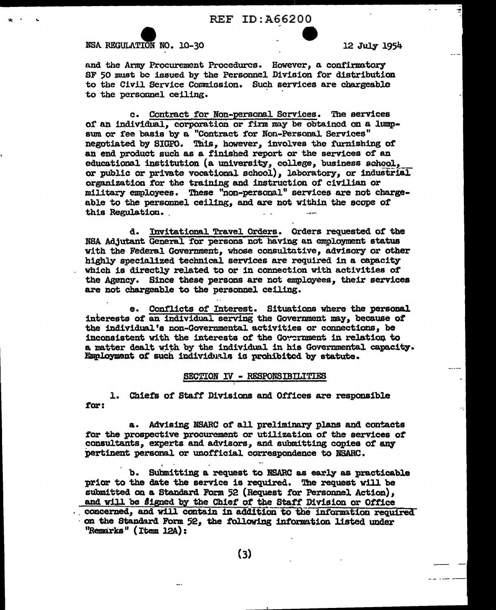**REF ID:A66200** 

# NSA REGULATION NO. 10-30

12 July 1954

and the Army Procurement Procedures. However, a confirmatory SF 50 must be issued by the Personnel Division for distribution to the Civil Service Commission. Such services are chargeable to the personnel ceiling.

c. Contract for Non-personal Services. The services of an individual, corporation or firm may be obtained on a lumnsum or fee basis by a "Contract for Non-Personal Services" negotiated by SIGPO. This, however, involves the furnishing of an end product such as a finished report or the services of an educational institution (a university, college, business school. or public or private vocational school). laboratory, or industrial organization for the training and instruction of civilian or military employees. These "non-personal" services are not chargeable to the personnel ceiling, and are not within the scope of this Regulation.

d. Invitational Travel Orders. Orders requested of the NSA Adjutant General for persons not having an employment status with the Federal Government, whose consultative, advisory or other highly specialized technical services are required in a capacity which is directly related to or in connection with activities of the Agency. Since these persons are not employees, their services are not chargeable to the personnel ceiling.

Conflicts of Interest. Situations where the personal e. interests of an individual serving the Government may, because of the individual's non-Governmental activities or connections, be inconsistent with the interests of the Government in relation to a matter dealt with by the individual in his Governmental capacity. Employment of such individuals is prohibited by statute.

# SECTION IV - RESPONSIBILITIES

1. Chiefs of Staff Divisions and Offices are responsible for:

a. Advising NSARC of all preliminary plans and contacts for the prospective procurement or utilization of the services of consultants, experts and advisors, and submitting copies of any pertinent personal or unofficial correspondence to NSARC.

b. Submitting a request to NSARC as early as practicable prior to the date the service is required. The request will be submitted on a Standard Form 52 (Request for Personnel Action). and will be signed by the Chief of the Staff Division or Office concerned, and will contain in addition to the information required on the Standard Form 52, the following information listed under "Remarks" (Item 12A):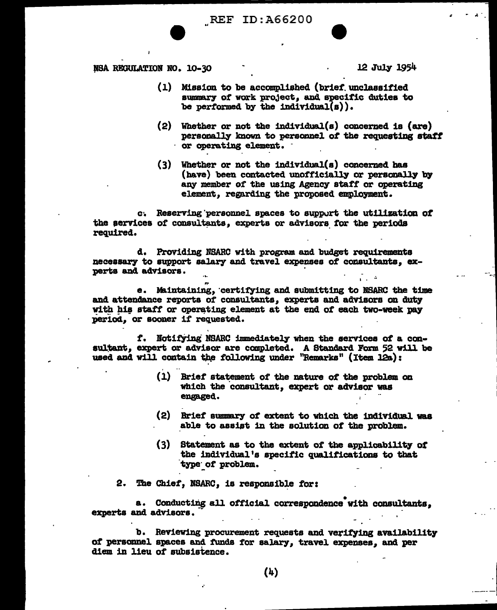NSA REGULATION NO. 10-30 **and 12 July 1954** 

- (1) Mission to be accomplished (brief. unclassified summary of work project, and specific duties to be performed by the individual( $s$ )).
- $(2)$  Whether or not the individual(s) concerned is (are) personally known to personnel of the requesting staff or operating element.
- (3) Whether or not the individual(a) concerned has (have) been contacted unofficially or personally by any member of the using Agency staff or operating element, regarding the proposed employment.

c. Reserving personnel spaces to support the utilization of the services of consultants, experts or advisors for the periods required.

d. Providing NSARC with program and budget requirements necesaary to support salary and travel expenses of consultants, experts and advisors.

e. Maintaining, certifying and submitting to NSARC the time and attendance reports of consultants, experts and advisors on duty with his staff or operating element at the end of each two-week pay period. or sooner if requested.

f. Notifying NSARC immediately when the services of a consultant, expert or advisor are completed. A Standard Form 52 will be used and will contain the following under "Remarks" (Item 12a):

- $(1)$  Brief statement of the nature of the problem on which the consultant, expert or advisor was engaged.
- $(2)$  Brief summary of extent to which the individual was able to assist in the solution of the problem.
- (3) Statement as to the extent of the applicability of the individual's specific qualifications to that type~ *ot* problem.

2. The Chief, NSARC, is responsible for:

.·

a. Conducting all official correspondence with consultants. experts and advisors.

b. Reviewing procurement requests and verifying availability of personnel spaces and funds for salary, travel expenses, and per diem in lieu of subsistence.